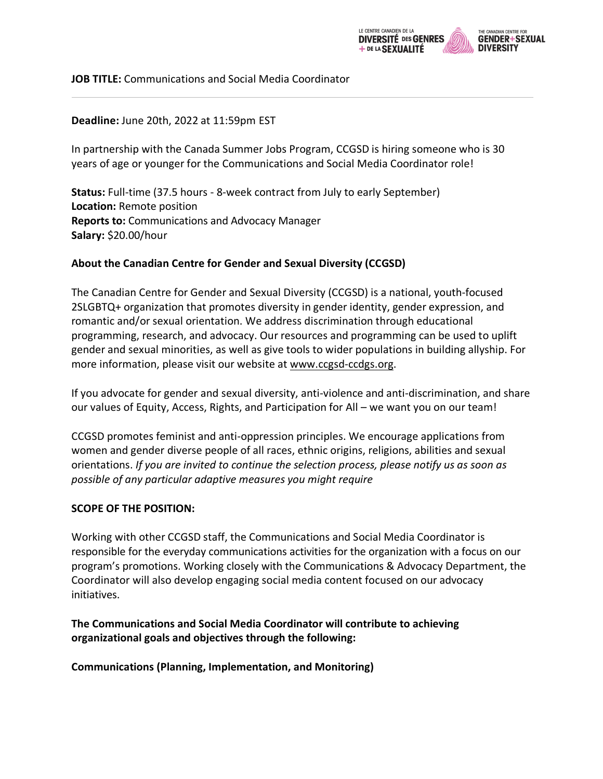

### **JOB TITLE:** Communications and Social Media Coordinator

### **Deadline:** June 20th, 2022 at 11:59pm EST

In partnership with the Canada Summer Jobs Program, CCGSD is hiring someone who is 30 years of age or younger for the Communications and Social Media Coordinator role!

**Status:** Full-time (37.5 hours - 8-week contract from July to early September) **Location:** Remote position **Reports to:** Communications and Advocacy Manager **Salary:** \$20.00/hour

### **About the Canadian Centre for Gender and Sexual Diversity (CCGSD)**

The Canadian Centre for Gender and Sexual Diversity (CCGSD) is a national, youth-focused 2SLGBTQ+ organization that promotes diversity in gender identity, gender expression, and romantic and/or sexual orientation. We address discrimination through educational programming, research, and advocacy. Our resources and programming can be used to uplift gender and sexual minorities, as well as give tools to wider populations in building allyship. For more information, please visit our website at www.ccgsd-ccdgs.org.

If you advocate for gender and sexual diversity, anti-violence and anti-discrimination, and share our values of Equity, Access, Rights, and Participation for All – we want you on our team!

CCGSD promotes feminist and anti-oppression principles. We encourage applications from women and gender diverse people of all races, ethnic origins, religions, abilities and sexual orientations. *If you are invited to continue the selection process, please notify us as soon as possible of any particular adaptive measures you might require*

#### **SCOPE OF THE POSITION:**

Working with other CCGSD staff, the Communications and Social Media Coordinator is responsible for the everyday communications activities for the organization with a focus on our program's promotions. Working closely with the Communications & Advocacy Department, the Coordinator will also develop engaging social media content focused on our advocacy initiatives.

### **The Communications and Social Media Coordinator will contribute to achieving organizational goals and objectives through the following:**

**Communications (Planning, Implementation, and Monitoring)**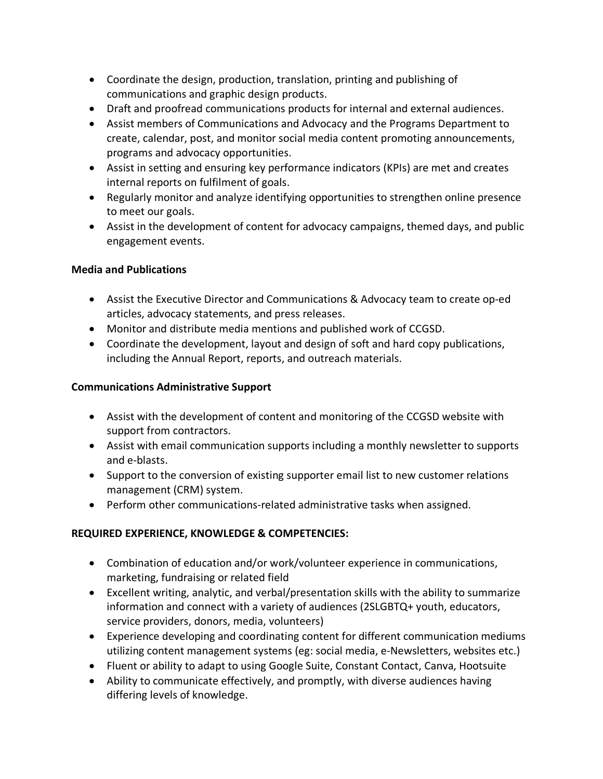- Coordinate the design, production, translation, printing and publishing of communications and graphic design products.
- Draft and proofread communications products for internal and external audiences.
- Assist members of Communications and Advocacy and the Programs Department to create, calendar, post, and monitor social media content promoting announcements, programs and advocacy opportunities.
- Assist in setting and ensuring key performance indicators (KPIs) are met and creates internal reports on fulfilment of goals.
- Regularly monitor and analyze identifying opportunities to strengthen online presence to meet our goals.
- Assist in the development of content for advocacy campaigns, themed days, and public engagement events.

# **Media and Publications**

- Assist the Executive Director and Communications & Advocacy team to create op-ed articles, advocacy statements, and press releases.
- Monitor and distribute media mentions and published work of CCGSD.
- Coordinate the development, layout and design of soft and hard copy publications, including the Annual Report, reports, and outreach materials.

# **Communications Administrative Support**

- Assist with the development of content and monitoring of the CCGSD website with support from contractors.
- Assist with email communication supports including a monthly newsletter to supports and e-blasts.
- Support to the conversion of existing supporter email list to new customer relations management (CRM) system.
- Perform other communications-related administrative tasks when assigned.

# **REQUIRED EXPERIENCE, KNOWLEDGE & COMPETENCIES:**

- Combination of education and/or work/volunteer experience in communications, marketing, fundraising or related field
- Excellent writing, analytic, and verbal/presentation skills with the ability to summarize information and connect with a variety of audiences (2SLGBTQ+ youth, educators, service providers, donors, media, volunteers)
- Experience developing and coordinating content for different communication mediums utilizing content management systems (eg: social media, e-Newsletters, websites etc.)
- Fluent or ability to adapt to using Google Suite, Constant Contact, Canva, Hootsuite
- Ability to communicate effectively, and promptly, with diverse audiences having differing levels of knowledge.